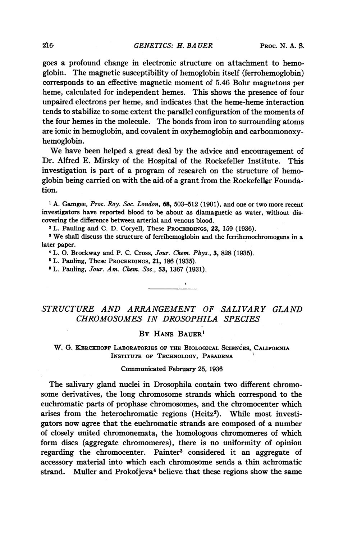goes a profound change in electronic structure on attachment to hemoglobin. The magnetic susceptibility of hemoglobin itself (ferrohemoglobin) corresponds to an effective magnetic moment of 5.46 Bohr magnetons per heme, calculated for independent hemes. This shows the presence of four unpaired electrons per heme, and indicates that the heme-heme interaction tends to stabilize to some extent the parallel configuration of the moments of the four hemes in the molecule. The bonds from iron to surrounding atoms are ionic in hemoglobin, and covalent in oxyhemoglobin and carbonmonoxyhemoglobin.

We have been helped <sup>a</sup> great deal by the advice and encouragement of Dr. Alfred E. Mirsky of the Hospital of the Rockefeller Institute. This investigation is part of a program of research on the structure of hemoglobin being carried on with the aid of a grant from the Rockefeller Foundation.

<sup>1</sup> A. Gamgee, Proc. Roy. Soc. London, 68, 503-512 (1901), and one or two more recent investigators have reported blood to be about as diamagnetic as water, without discovering the difference between arterial and venous blood.

<sup>2</sup> L. Pauling and C. D. Coryell, These PROCEEDINGS, 22, 159 (1936).

<sup>3</sup> We shall discuss the structure of ferrihemoglobin and the ferrihemochromogens in <sup>a</sup> later paper.

<sup>4</sup> L. 0. Brockway and P. C. Cross, Jour. Chem. Phys., 3, 828 (1935).

<sup>6</sup> L. Pauling, These PROCEEDINGS, 21, 186 (1935).

L. Pauting, Jour. Am. Chem. Soc., 53, 1367 (1931).

# STRUCTURE AND ARRANGEMENT OF SALIVARY GLAND CHROMOSOMES IN DROSOPHILA SPECIES

### BY HANS BAUER<sup>1</sup>

### W. G. KERCKHOFF LABORATORIES OF THE BIOLOGICAL SCIENCES, CALIFORNIA INSTITUTE OF TECHNOLOGY, PASADENA

#### Communicated February 25, 1936

The salivary gland nuclei in Drosophila contain two different chromosome derivatives, the long chromosome strands which correspond to the euchromatic parts of prophase chromosomes, and the chromocenter which arises from the heterochromatic regions ( $Heitz<sup>2</sup>$ ). While most investigators now agree that the euchromatic strands are composed of a number of closely united chromonemata, the homologous chromomeres of which form discs (aggregate chromomeres), there is no uniformity of opinion regarding the chromocenter. Painter<sup>3</sup> considered it an aggregate of accessory material into which each chromosome sends a thin achromatic strand. Muller and Prokofjeva<sup>4</sup> believe that these regions show the same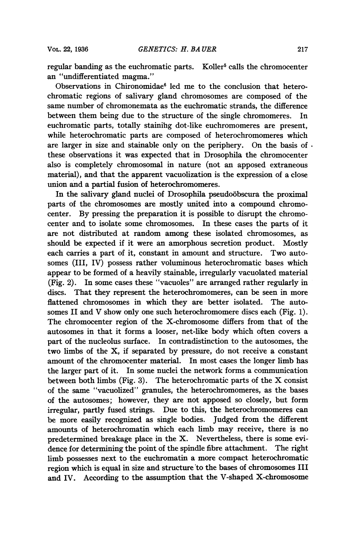regular banding as the euchromatic parts. Koller<sup>5</sup> calls the chromocenter an "undifferentiated magma."

Observations in Chironomidae<sup>6</sup> led me to the conclusion that heterochromatic regions of salivary gland chromosomes are composed of the same number of chromonemata as the euchromatic strands, the difference between them being due to the structure of the single chromomeres. In euchromatic parts, totally stainihg dot-like euchromomeres are present, while heterochromatic parts are composed of heterochromomeres which are larger in size and stainable only on the periphery. On the basis of  $\cdot$ these observations it was expected that in Drosophila the chromocenter also is completely chromosomal in nature (not an apposed extraneous material), and that the apparent vacuolization is the expression of a close union and a partial fusion of heterochromomeres.

In the salivary gland nuclei of Drosophila pseudoobscura the proximal parts of the chromosomes are mostly united into a compound chromocenter. By pressing the preparation it is possible to disrupt the chromocenter and to isolate some chromosomes. In these cases the parts of it are not distributed at random among these isolated chromosomes, as should be expected if it were an amorphous secretion product. Mostly each carries a part of it, constant in amount and structure. Two autosomes (III, IV) possess rather voluminous heterochromatic bases which appear to be formed of a heavily stainable, irregularly vacuolated material (Fig. 2). In some cases these "vacuoles" are arranged rather regularly in discs. That they represent the heterochromomeres, can be seen in more flattened chromosomes in which they are better isolated. The autosomes II and V show only one such heterochromomere discs each (Fig. 1). The chromocenter region of the X-chromosome differs from that of the autosomes in that it forms a looser, net-like body which often covers a part of the nucleolus surface. In contradistinction to the autosomes, the two limbs of the X, if separated by pressure, do not receive a constant amount of the chromocenter material. In most cases the longer limb has the larger part of it. In some nuclei the network forms a communication between both limbs (Fig. 3). The heterochromatic parts of the X consist of the same "vacuolized" granules, the heterochromomeres, as the bases of the autosomes; however, they are not apposed so closely, but form irregular, partly fused strings. Due to this, the heterochromomeres can be more easily recognized as single bodies. Judged from the different amounts of heterochromatin which each limb may receive, there is no predetermined breakage place in the X. Nevertheless, there is some evidence for determining the point of the spindle fibre attachment. The right limb possesses next to the euchromatin a more compact heterochromatic region which is equal in size and structure to the bases of chromosomes III and IV. According to the assumption that the V-shaped X-chromosome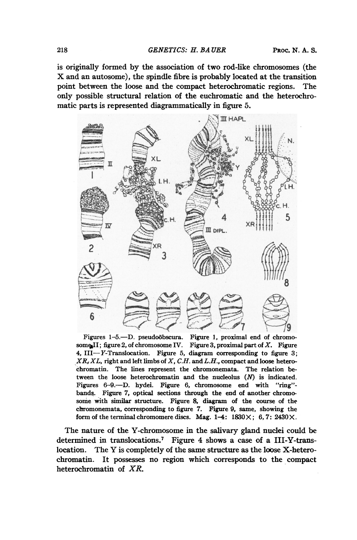is originally formed by the association of two rod-like chromosomes (the X and an autosome), the spindle fibre is probably located at the transition point between the loose and the compact heterochromatic regions. The only possible structural relation of the euchromatic and the heterochromatic parts is represented diagrammatically in figure 5.



Figures 1-5.--D. pseudoöbscura. Figure 1, proximal end of chromosome II; figure 2, of chromosome IV. Figure 3, proximal part of  $X$ . Figure 4,  $III - Y$ -Translocation. Figure 5, diagram corresponding to figure 3;  $XR$ ,  $XL$ , right and left limbs of  $X$ ,  $C.H$ . and  $L.H$ ., compact and loose heterochromatin. The lines represent the chromonemata. The relation between the loose heterochromatin and the nucleolus  $(N)$  is indicated. Figures 6-9.--D. hydei. Figure 6, chromosome end with "ring"bands. Figure 7, optical sections through the end of another chromosome with similar structure. Figure 8, diagram of the course of the chromonemata, corresponding to figure 7. Figure 9, same, showing the form of the terminal chromomere discs. Mag.  $1-4$ :  $1830\times$ ; 6,7:  $2430\times$ .

The nature of the Y-chromosome in the salivary gland nuclei could be determined in translocations.7 Figure 4 shows a case of a III-Y-translocation. The Y is completely of the same structure as the loose X-heterochromatin. It possesses no region which corresponds to the compact heterochromatin of XR.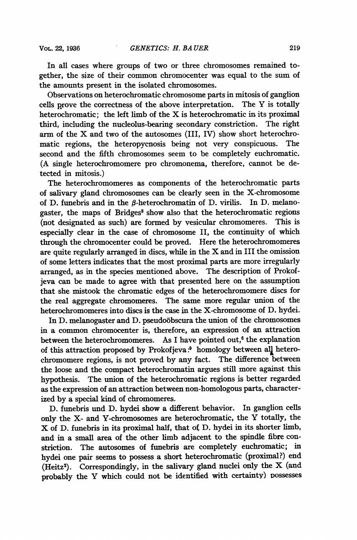In all cases where groups of two or three chromosomes remained together, the size of their common chromocenter was equal to the sum of the amounts present in the isolated chromosomes.

Observations on heterochromatic chromosome parts in mitosis of ganglion cells prove the correctness of the above interpretation. The Y is totally heterochromatic; the left limb of the X is heterochromatic in its proximal third, including the nucleolus-bearing secondary constriction. The right arm of the X and two of the autosomes (III, IV) show short heterochromatic regions, the heteropycnosis being not very conspicuous. The second and the fifth chromosomes seem to be completely euchromatic. (A single heterochromomere pro chromonema, therefore, cannot be detected in mitosis.)

The heterochromomeres as components of the heterochromatic parts of salivary gland chromosomes can be clearly seen in the X-chromosome of D. funebris and in the  $\beta$ -heterochromatin of D. virilis. In D. melanogaster, the maps of Bridges<sup>8</sup> show also that the heterochromatic regions (not designated as such) are formed by vesicular chromomeres. This is especially clear in the case of chromosome II, the continuity of which through the chromocenter could be proved. Here the heterochromomeres are quite regularly arranged in discs, while in the  $X$  and in III the omission of some letters indicates that the most proximal parts are more irregularly arranged, as in the species mentioned above. The description of Prokofjeva can be made to agree with that presented here on the assumption that she mistook the chromatic edges of the heterochromomere discs for the real aggregate chromomeres. The same more regular union of the heterochromomeres into discs is the case in the X-chromosome of D. hydei.

In D. melanogaster and D. pseudoöbscura the union of the chromosomes in a common chromocenter is, therefore, an expression of an attraction between the heterochromomeres. As I have pointed out, $6$  the explanation of this attraction proposed by Prokofjeva :<sup>9</sup> homology between all heterochromomere regions, is not proved by any fact. The difference between the loose and the compact heterochromatin argues still more against this hypothesis. The union of the heterochromatic regions is better regarded as the expression of an attraction between non-homologous parts, characterized by a special kind of chromomeres.

D. funebris und D. hydei show a different behavior. In ganglion cells only the X- and Y-chromosomes are heterochromatic, the Y totally, the X of D. funebris in its proximal half, that of D. hydei in its shorter limb, and in a small area of the other limb adjacent to the spindle fibre constriction. The autosomes of funebris are completely euchromatic; in hydei one pair seems to possess a short heterochromatic (proximal?) end (Heitz2). Correspondingly, in the salivary gland nuclei only the X (and probably the Y which could not be identified with certainty) possesses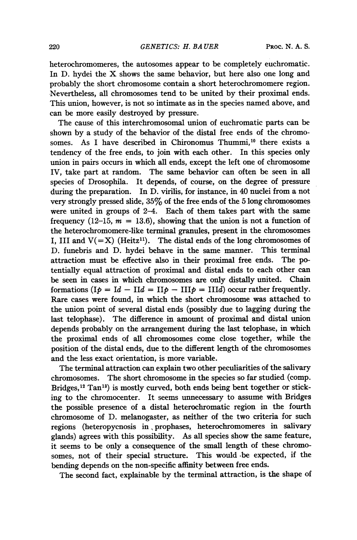heterochromomeres, the autosomes appear to be completely euchromatic. In D. hydei the X shows the same behavior, but here also one long and probably the short chromosome contain a short heterochromomere region. Nevertheless, all chromosomes tend to be united by their proximal ends. This union, however, is not so intimate as in the species named above, and can be more easily destroyed by pressure.

The cause of this interchromosomal union of euchromatic parts can be shown by a study of the behavior of the distal free ends of the chromosomes. As I have described in Chironomus Thummi,<sup>10</sup> there exists a tendency of the free ends, to join with each other. In this species only union in pairs occurs in which all ends, except the left one of chromosome IV, take part at random. The same behavior can often be seen in all species of Drosophila. It depends, of course, on the degree of pressure during the preparation. In D. virilis, for instance, in 40 nuclei from a not very strongly pressed slide,  $35\%$  of the free ends of the 5 long chromosomes were united in groups of 2-4. Each of them takes part with the same frequency (12-15,  $m = 13.6$ ), showing that the union is not a function of the heterochromomere-like terminal granules, present in the chromosomes I, III and  $V(=X)$  (Heitz<sup>11</sup>). The distal ends of the long chromosomes of D. funebris and D. hydei behave in the same manner. This terminal attraction must be effective also in their proximal free ends. The potentially equal attraction of proximal and distal ends to each other can be seen in cases in which chromosomes are only distally united. Chain formations  $(Ip = Id - IId = IIp - IIIq)$  occur rather frequently. Rare cases were found, in which the short chromosome was attached to the union point of several distal ends (possibly due to lagging during the last telophase). The difference in amount of proximal and distal union depends probably on the arrangement during the last telophase, in which the proximal ends of all chromosomes come close together, while the position of the distal ends, due to the different length of the chromosomes and the less exact orientation, is more variable.

The terminal attraction can explain two other peculiarities of the salivary chromosomes. The short chromosome in the species so far studied (comp. Bridges,<sup>12</sup> Tan<sup>13</sup>) is mostly curved, both ends being bent together or sticking to the chromocenter. It seems unnecessary to assume with Bridges the possible presence of a distal heterochromatic region in the fourth chromosome of D. melanogaster, as neither of the two criteria for such regions (heteropycnosis in , prophases, heterochromomeres in salivary glands) agrees with this possibility. As all species show the same feature, it seems to be only a consequence of the small length of these chromosomes, not of their special structure. This would -be expected, if the bending depends on the non-specific affinity between free ends.

The second fact, explainable by the terminal attraction, is the shape of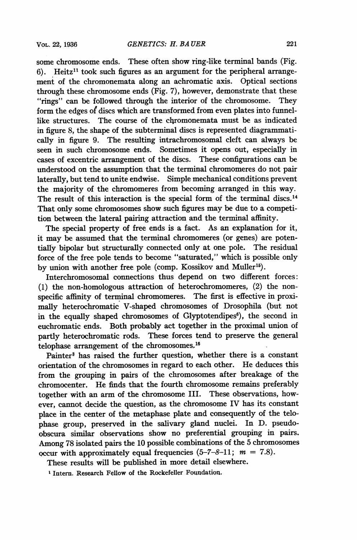some chromosome ends. These often show ring-like terminal bands (Fig. 6). Heitz<sup>11</sup> took such figures as an argument for the peripheral arrangement of the chromonemata along an achromatic axis. Optical sections through these chromosome ends (Fig. 7), however, demonstrate that these "rings" can be followed through the interior of the chromosome. They form the edges of discs which are transformed from even plates into funnellike structures. The course of the chromonemata must be as indicated in figure 8, the shape of the subterminal discs is represented diagrammatically in figure 9. The resulting intrachromosomal cleft can always be seen in such chromosome ends. Sometimes it opens out, especially in cases of excentric arrangement of the discs. These configurations can be understood on the assumption that the terminal chromomeres do not pair laterally, but tend to unite endwise. Simple mechanical conditions prevent the majority of the chromomeres from becoming arranged in this way. The result of this interaction is the special form of the terminal discs.<sup>14</sup> That only some chromosomes show such figures may be due to a competition between the lateral pairing attraction and the terminal affinity.

The special property of free ends is a fact. As an explanation for it, it may be assumed that the terminal chromomeres (or genes) are potentially bipolar but structurally connected only at one pole. The residual force of the free pole tends to become "saturated," which is possible only by union with another free pole (comp. Kossikov and Muller<sup>15</sup>).

Interchromosomal connections thus depend on two different forces: (1) the non-homologous attraction of heterochromomeres, (2) the nonspecific affinity of terminal chromomeres. The first is effective in proximally heterochromatic V-shaped chromosomes of Drosophila (but not in the equally shaped chromosomes of Glyptotendipes<sup>6</sup>), the second in euchromatic ends. Both probably act together in the proximal union of partly heterochromatic rods. These forces tend to preserve the general telophase arrangement of the chromosomes.<sup>16</sup>

Painter<sup>3</sup> has raised the further question, whether there is a constant orientation of the chromosomes in regard to each other. He deduces this from the grouping in pairs of the chromosomes after breakage of the chromocenter. He finds that the fourth chromosome remains preferably together with an arm of the chromosome III. These observations, however, cannot decide the question, as the chromosome IV has its constant place in the center of the metaphase plate and consequently of the telophase group, preserved in the salivary gland nuclei. In D. pseudoobscura similar observations show no preferential grouping in pairs. Among 78 isolated pairs the 10 possible combinations of the <sup>5</sup> chromosomes occur with approximately equal frequencies  $(5-7-8-11; m = 7.8)$ .

These results will be published in more detail elsewhere.

<sup>1</sup> Intern. Research Fellow of the Rockefeller Foundation.